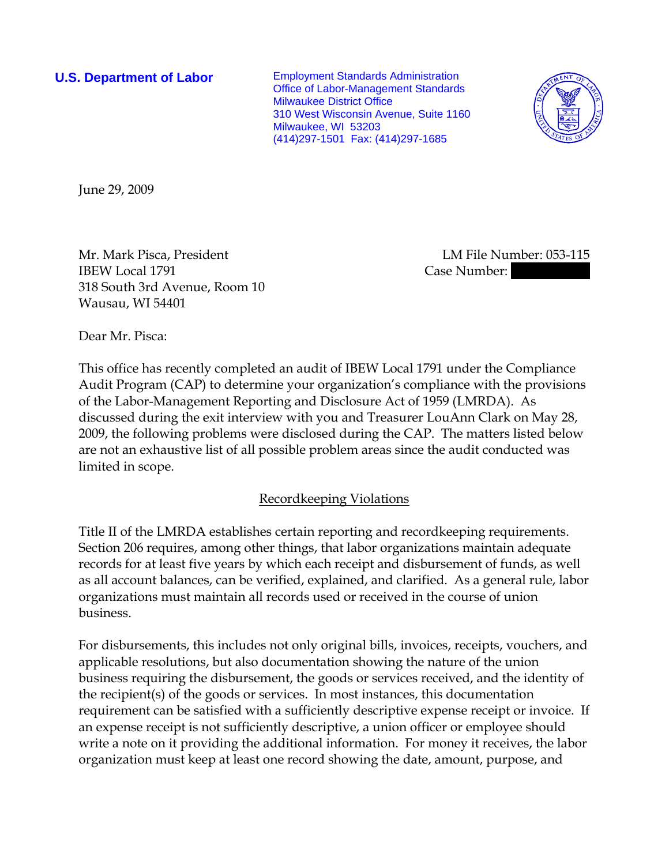**U.S. Department of Labor** Employment Standards Administration Office of Labor-Management Standards Milwaukee District Office 310 West Wisconsin Avenue, Suite 1160 Milwaukee, WI 53203 (414)297-1501 Fax: (414)297-1685



June 29, 2009

Mr. Mark Pisca, President LM File Number: 053-115 IBEW Local 1791 **Case Number:** 330-08358 Case Number: 330-08358 318 South 3rd Avenue, Room 10 Wausau, WI 54401

Dear Mr. Pisca:

This office has recently completed an audit of IBEW Local 1791 under the Compliance Audit Program (CAP) to determine your organization's compliance with the provisions of the Labor-Management Reporting and Disclosure Act of 1959 (LMRDA). As discussed during the exit interview with you and Treasurer LouAnn Clark on May 28, 2009, the following problems were disclosed during the CAP. The matters listed below are not an exhaustive list of all possible problem areas since the audit conducted was limited in scope.

# Recordkeeping Violations

Title II of the LMRDA establishes certain reporting and recordkeeping requirements. Section 206 requires, among other things, that labor organizations maintain adequate records for at least five years by which each receipt and disbursement of funds, as well as all account balances, can be verified, explained, and clarified. As a general rule, labor organizations must maintain all records used or received in the course of union business.

For disbursements, this includes not only original bills, invoices, receipts, vouchers, and applicable resolutions, but also documentation showing the nature of the union business requiring the disbursement, the goods or services received, and the identity of the recipient(s) of the goods or services. In most instances, this documentation requirement can be satisfied with a sufficiently descriptive expense receipt or invoice. If an expense receipt is not sufficiently descriptive, a union officer or employee should write a note on it providing the additional information. For money it receives, the labor organization must keep at least one record showing the date, amount, purpose, and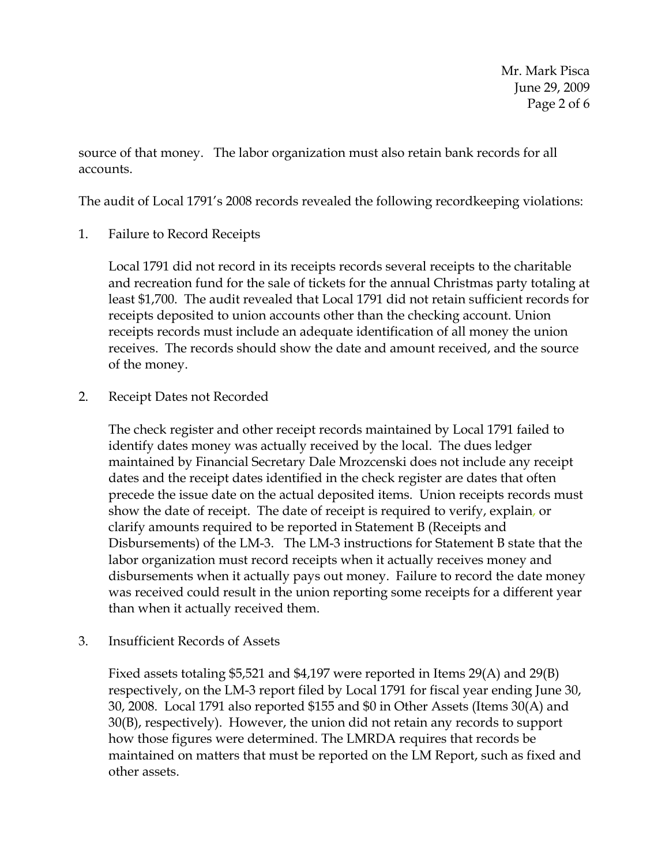Mr. Mark Pisca June 29, 2009 Page 2 of 6

source of that money. The labor organization must also retain bank records for all accounts.

The audit of Local 1791's 2008 records revealed the following recordkeeping violations:

1. Failure to Record Receipts

Local 1791 did not record in its receipts records several receipts to the charitable and recreation fund for the sale of tickets for the annual Christmas party totaling at least \$1,700. The audit revealed that Local 1791 did not retain sufficient records for receipts deposited to union accounts other than the checking account. Union receipts records must include an adequate identification of all money the union receives. The records should show the date and amount received, and the source of the money.

2. Receipt Dates not Recorded

The check register and other receipt records maintained by Local 1791 failed to identify dates money was actually received by the local. The dues ledger maintained by Financial Secretary Dale Mrozcenski does not include any receipt dates and the receipt dates identified in the check register are dates that often precede the issue date on the actual deposited items. Union receipts records must show the date of receipt. The date of receipt is required to verify, explain, or clarify amounts required to be reported in Statement B (Receipts and Disbursements) of the LM-3. The LM-3 instructions for Statement B state that the labor organization must record receipts when it actually receives money and disbursements when it actually pays out money. Failure to record the date money was received could result in the union reporting some receipts for a different year than when it actually received them.

3. Insufficient Records of Assets

Fixed assets totaling \$5,521 and \$4,197 were reported in Items 29(A) and 29(B) respectively, on the LM-3 report filed by Local 1791 for fiscal year ending June 30, 30, 2008. Local 1791 also reported \$155 and \$0 in Other Assets (Items 30(A) and 30(B), respectively). However, the union did not retain any records to support how those figures were determined. The LMRDA requires that records be maintained on matters that must be reported on the LM Report, such as fixed and other assets.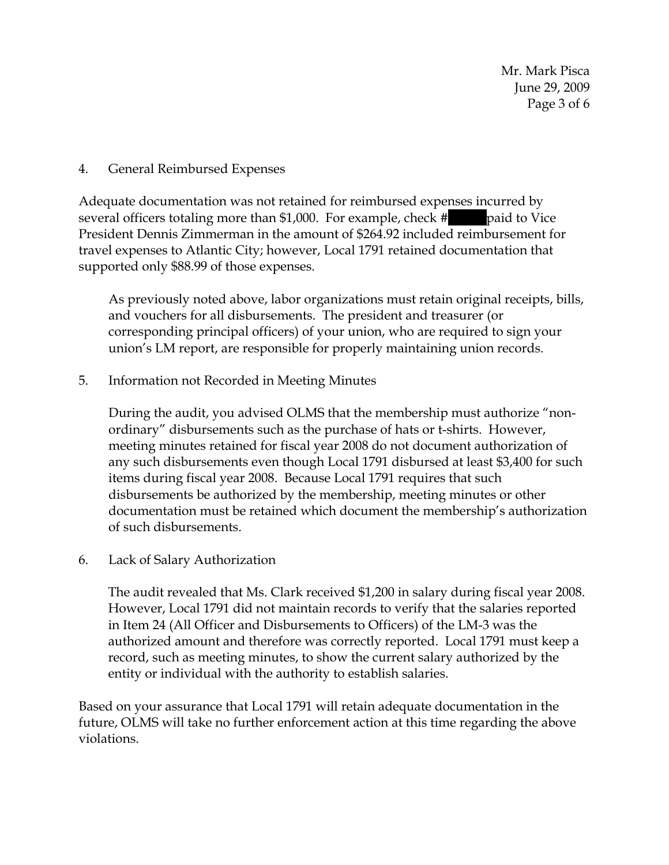# 4. General Reimbursed Expenses

Adequate documentation was not retained for reimbursed expenses incurred by several officers totaling more than \$1,000. For example, check  $\#$  || paid to Vice President Dennis Zimmerman in the amount of \$264.92 included reimbursement for travel expenses to Atlantic City; however, Local 1791 retained documentation that supported only \$88.99 of those expenses.

As previously noted above, labor organizations must retain original receipts, bills, and vouchers for all disbursements. The president and treasurer (or corresponding principal officers) of your union, who are required to sign your union's LM report, are responsible for properly maintaining union records.

5. Information not Recorded in Meeting Minutes

During the audit, you advised OLMS that the membership must authorize "nonordinary" disbursements such as the purchase of hats or t-shirts. However, meeting minutes retained for fiscal year 2008 do not document authorization of any such disbursements even though Local 1791 disbursed at least \$3,400 for such items during fiscal year 2008.Because Local 1791 requires that such disbursements be authorized by the membership, meeting minutes or other documentation must be retained which document the membership's authorization of such disbursements.

# 6. Lack of Salary Authorization

The audit revealed that Ms. Clark received \$1,200 in salary during fiscal year 2008. However, Local 1791 did not maintain records to verify that the salaries reported in Item 24 (All Officer and Disbursements to Officers) of the LM-3 was the authorized amount and therefore was correctly reported. Local 1791 must keep a record, such as meeting minutes, to show the current salary authorized by the entity or individual with the authority to establish salaries.

Based on your assurance that Local 1791 will retain adequate documentation in the future, OLMS will take no further enforcement action at this time regarding the above violations.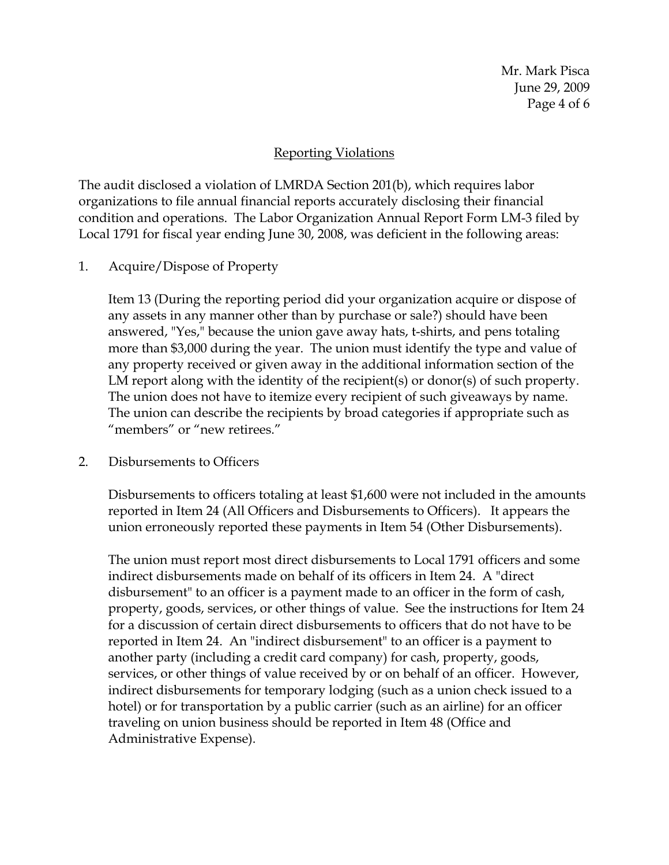# Reporting Violations

The audit disclosed a violation of LMRDA Section 201(b), which requires labor organizations to file annual financial reports accurately disclosing their financial condition and operations. The Labor Organization Annual Report Form LM-3 filed by Local 1791 for fiscal year ending June 30, 2008, was deficient in the following areas:

# 1. Acquire/Dispose of Property

Item 13 (During the reporting period did your organization acquire or dispose of any assets in any manner other than by purchase or sale?) should have been answered, "Yes," because the union gave away hats, t-shirts, and pens totaling more than \$3,000 during the year. The union must identify the type and value of any property received or given away in the additional information section of the LM report along with the identity of the recipient(s) or donor(s) of such property. The union does not have to itemize every recipient of such giveaways by name. The union can describe the recipients by broad categories if appropriate such as "members" or "new retirees."

# 2. Disbursements to Officers

Disbursements to officers totaling at least \$1,600 were not included in the amounts reported in Item 24 (All Officers and Disbursements to Officers). It appears the union erroneously reported these payments in Item 54 (Other Disbursements).

The union must report most direct disbursements to Local 1791 officers and some indirect disbursements made on behalf of its officers in Item 24. A "direct disbursement" to an officer is a payment made to an officer in the form of cash, property, goods, services, or other things of value. See the instructions for Item 24 for a discussion of certain direct disbursements to officers that do not have to be reported in Item 24. An "indirect disbursement" to an officer is a payment to another party (including a credit card company) for cash, property, goods, services, or other things of value received by or on behalf of an officer. However, indirect disbursements for temporary lodging (such as a union check issued to a hotel) or for transportation by a public carrier (such as an airline) for an officer traveling on union business should be reported in Item 48 (Office and Administrative Expense).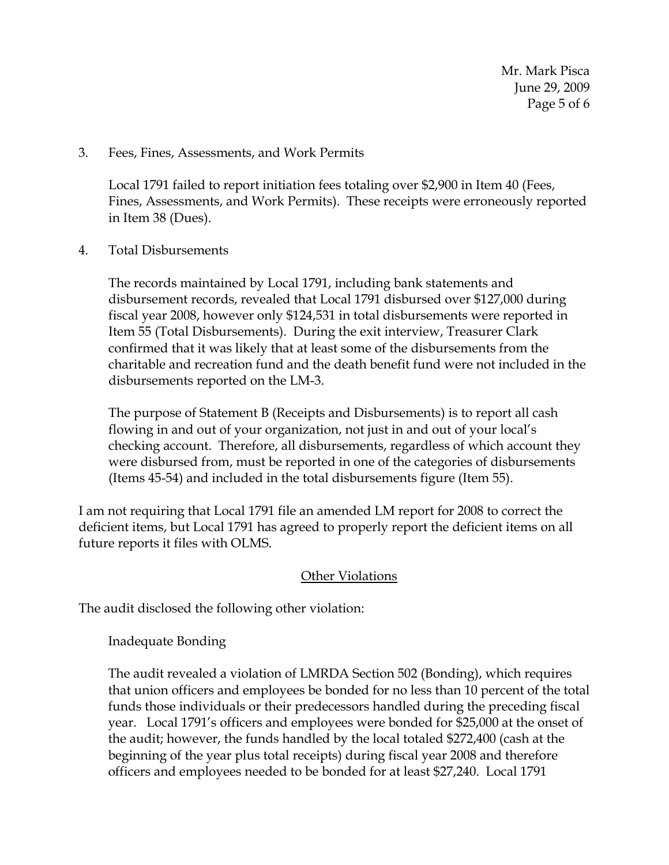3. Fees, Fines, Assessments, and Work Permits

Local 1791 failed to report initiation fees totaling over \$2,900 in Item 40 (Fees, Fines, Assessments, and Work Permits). These receipts were erroneously reported in Item 38 (Dues).

4. Total Disbursements

The records maintained by Local 1791, including bank statements and disbursement records, revealed that Local 1791 disbursed over \$127,000 during fiscal year 2008, however only \$124,531 in total disbursements were reported in Item 55 (Total Disbursements). During the exit interview, Treasurer Clark confirmed that it was likely that at least some of the disbursements from the charitable and recreation fund and the death benefit fund were not included in the disbursements reported on the LM-3.

The purpose of Statement B (Receipts and Disbursements) is to report all cash flowing in and out of your organization, not just in and out of your local's checking account. Therefore, all disbursements, regardless of which account they were disbursed from, must be reported in one of the categories of disbursements (Items 45-54) and included in the total disbursements figure (Item 55).

I am not requiring that Local 1791 file an amended LM report for 2008 to correct the deficient items, but Local 1791 has agreed to properly report the deficient items on all future reports it files with OLMS.

# **Other Violations**

The audit disclosed the following other violation:

Inadequate Bonding

The audit revealed a violation of LMRDA Section 502 (Bonding), which requires that union officers and employees be bonded for no less than 10 percent of the total funds those individuals or their predecessors handled during the preceding fiscal year. Local 1791's officers and employees were bonded for \$25,000 at the onset of the audit; however, the funds handled by the local totaled \$272,400 (cash at the beginning of the year plus total receipts) during fiscal year 2008 and therefore officers and employees needed to be bonded for at least \$27,240. Local 1791